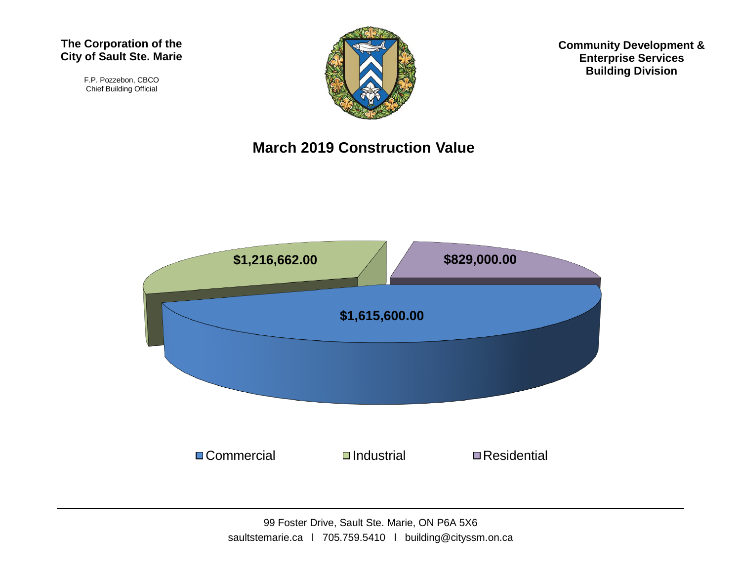#### **The Corporation of the City of Sault Ste. Marie**

F.P. Pozzebon, CBCO Chief Building Official



**Community Development & Enterprise Services Building Division**

#### **March 2019 Construction Value**

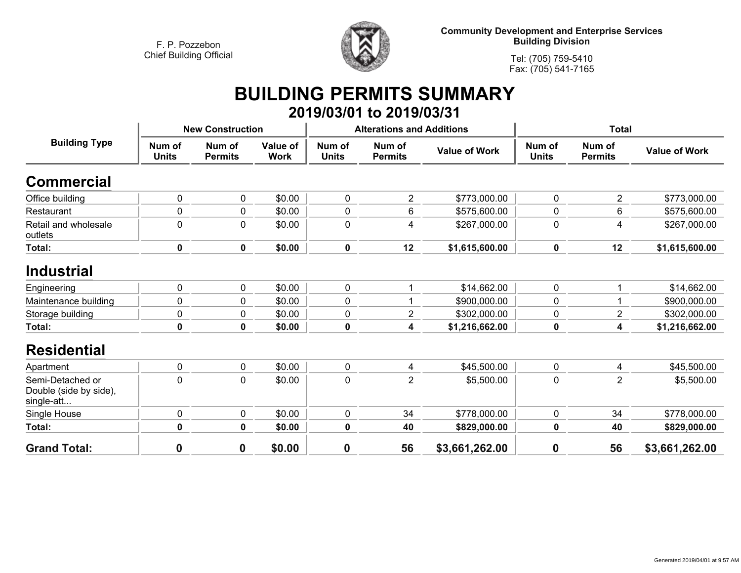

**Community Development and Enterprise Services Building Division**

**Tel: (705) 759-5410Fax: (705) 541-7165**

### **BUILDING PERMITS SUMMARY 2019/03/01 to 2019/03/31**

| <b>Building Type</b>                                     | <b>New Construction</b> |                          |                         |                        | <b>Alterations and Additions</b> |                      | <b>Total</b>           |                          |                      |
|----------------------------------------------------------|-------------------------|--------------------------|-------------------------|------------------------|----------------------------------|----------------------|------------------------|--------------------------|----------------------|
|                                                          | Num of<br><b>Units</b>  | Num of<br><b>Permits</b> | Value of<br><b>Work</b> | Num of<br><b>Units</b> | Num of<br><b>Permits</b>         | <b>Value of Work</b> | Num of<br><b>Units</b> | Num of<br><b>Permits</b> | <b>Value of Work</b> |
| <b>Commercial</b>                                        |                         |                          |                         |                        |                                  |                      |                        |                          |                      |
| Office building                                          | $\pmb{0}$               | $\pmb{0}$                | \$0.00                  | 0                      | $\overline{2}$                   | \$773,000.00         | $\mathbf 0$            | $\overline{2}$           | \$773,000.00         |
| Restaurant                                               | $\pmb{0}$               | $\mathbf 0$              | \$0.00                  | 0                      | 6                                | \$575,600.00         | 0                      | 6                        | \$575,600.00         |
| Retail and wholesale<br>outlets                          | $\pmb{0}$               | $\mathbf 0$              | \$0.00                  | $\pmb{0}$              | 4                                | \$267,000.00         | $\mathbf 0$            | 4                        | \$267,000.00         |
| Total:                                                   | $\pmb{0}$               | $\pmb{0}$                | \$0.00                  | $\pmb{0}$              | 12                               | \$1,615,600.00       | $\pmb{0}$              | 12                       | \$1,615,600.00       |
| <b>Industrial</b>                                        |                         |                          |                         |                        |                                  |                      |                        |                          |                      |
| Engineering                                              | $\pmb{0}$               | $\pmb{0}$                | \$0.00                  | 0                      |                                  | \$14,662.00          | $\mathbf 0$            |                          | \$14,662.00          |
| Maintenance building                                     | 0                       | $\mathbf 0$              | \$0.00                  | 0                      |                                  | \$900,000.00         | 0                      |                          | \$900,000.00         |
| Storage building                                         | $\pmb{0}$               | $\mathbf 0$              | \$0.00                  | $\pmb{0}$              | $\overline{2}$                   | \$302,000.00         | 0                      | $\overline{2}$           | \$302,000.00         |
| Total:                                                   | $\pmb{0}$               | $\mathbf 0$              | \$0.00                  | $\pmb{0}$              | 4                                | \$1,216,662.00       | 0                      | 4                        | \$1,216,662.00       |
| <b>Residential</b>                                       |                         |                          |                         |                        |                                  |                      |                        |                          |                      |
| Apartment                                                | $\pmb{0}$               | $\pmb{0}$                | \$0.00                  | 0                      | 4                                | \$45,500.00          | 0                      | 4                        | \$45,500.00          |
| Semi-Detached or<br>Double (side by side),<br>single-att | $\mathbf 0$             | $\mathbf 0$              | \$0.00                  | 0                      | $\overline{2}$                   | \$5,500.00           | 0                      | $\overline{2}$           | \$5,500.00           |
| Single House                                             | $\pmb{0}$               | $\pmb{0}$                | \$0.00                  | 0                      | 34                               | \$778,000.00         | $\mathbf 0$            | 34                       | \$778,000.00         |
| Total:                                                   | $\pmb{0}$               | $\mathbf 0$              | \$0.00                  | $\bf{0}$               | 40                               | \$829,000.00         | 0                      | 40                       | \$829,000.00         |
| <b>Grand Total:</b>                                      | $\boldsymbol{0}$        | 0                        | \$0.00                  | $\boldsymbol{0}$       | 56                               | \$3,661,262.00       | $\boldsymbol{0}$       | 56                       | \$3,661,262.00       |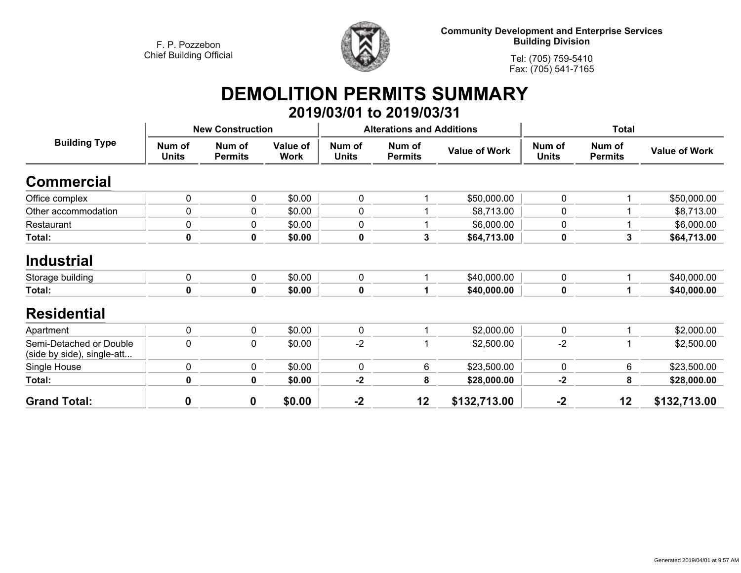

**Community Development and Enterprise Services Building Division**

**Tel: (705) 759-5410Fax: (705) 541-7165**

# **DEMOLITION PERMITS SUMMARY**

|                                                       |                         |                          |                                |                        | 2019/03/01 to 2019/03/31         |                      |                        |                          |                      |
|-------------------------------------------------------|-------------------------|--------------------------|--------------------------------|------------------------|----------------------------------|----------------------|------------------------|--------------------------|----------------------|
|                                                       | <b>New Construction</b> |                          |                                |                        | <b>Alterations and Additions</b> |                      | <b>Total</b>           |                          |                      |
| <b>Building Type</b>                                  | Num of<br><b>Units</b>  | Num of<br><b>Permits</b> | <b>Value of</b><br><b>Work</b> | Num of<br><b>Units</b> | Num of<br><b>Permits</b>         | <b>Value of Work</b> | Num of<br><b>Units</b> | Num of<br><b>Permits</b> | <b>Value of Work</b> |
| <b>Commercial</b>                                     |                         |                          |                                |                        |                                  |                      |                        |                          |                      |
| Office complex                                        | $\mathbf 0$             | 0                        | \$0.00                         | 0                      |                                  | \$50,000.00          | $\mathbf 0$            | 1                        | \$50,000.00          |
| Other accommodation                                   | 0                       | 0                        | \$0.00                         | 0                      |                                  | \$8,713.00           | 0                      |                          | \$8,713.00           |
| Restaurant                                            | 0                       | $\pmb{0}$                | \$0.00                         | 0                      |                                  | \$6,000.00           | $\mathbf 0$            |                          | \$6,000.00           |
| Total:                                                | $\mathbf 0$             | $\mathbf 0$              | \$0.00                         | 0                      | 3                                | \$64,713.00          | $\mathbf 0$            | 3                        | \$64,713.00          |
| <b>Industrial</b><br>Storage building                 | $\pmb{0}$               | $\pmb{0}$                | \$0.00                         | 0                      |                                  | \$40,000.00          | $\mathbf 0$            |                          | \$40,000.00          |
| Total:                                                | 0                       | $\mathbf 0$              | \$0.00                         | 0                      |                                  | \$40,000.00          | $\pmb{0}$              |                          | \$40,000.00          |
| <b>Residential</b>                                    |                         |                          |                                |                        |                                  |                      |                        |                          |                      |
| Apartment                                             | $\mathbf 0$             | $\mathbf 0$              | \$0.00                         | 0                      |                                  | \$2,000.00           | $\mathbf 0$            |                          | \$2,000.00           |
| Semi-Detached or Double<br>(side by side), single-att | $\mathbf 0$             | 0                        | \$0.00                         | $-2$                   |                                  | \$2,500.00           | $-2$                   |                          | \$2,500.00           |
| Single House                                          | $\pmb{0}$               | $\pmb{0}$                | \$0.00                         | 0                      | 6                                | \$23,500.00          | $\mathbf 0$            | 6                        | \$23,500.00          |
| Total:                                                | 0                       | $\mathbf 0$              | \$0.00                         | $-2$                   | 8                                | \$28,000.00          | $-2$                   | 8                        | \$28,000.00          |
| <b>Grand Total:</b>                                   | 0                       | $\boldsymbol{0}$         | \$0.00                         | $-2$                   | 12                               | \$132,713.00         | $-2$                   | 12                       | \$132,713.00         |